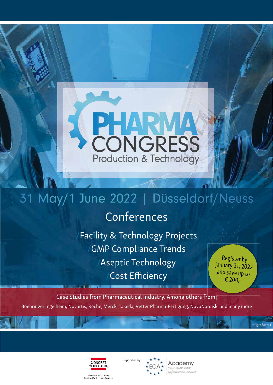

# 31 May/1 June 2022 | Düsseldorf/Neuss

## Conferences

Facility & Technology Projects **GMP Compliance Trends** /Aseptic Technology Cost Efficiency

Register by January 31, 2022 and save up to € 200,-

Image: Merck

Case Studies from Pharmaceutical Industry. Among others from: Boehringer Ingelheim, Novartis, Roche, Merck, Takeda, Vetter Pharma-Fertigung, NovoNordisk and many more







Pharmaceutical Quality<br>Training. Conferences. Services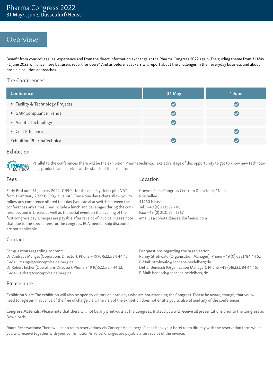### Overview

Benefit from your colleagues' experience and from the direct information exchange at the Pharma Congress 2022 again. The guiding theme from 31 May - 1 June 2022 will once more be "users report for users". And as before, speakers will report about the challenges in their everyday business and about possible solution approaches.

#### The Conferences

| <b>Conference</b>              | 31 May | 1 June                   |
|--------------------------------|--------|--------------------------|
| Facility & Technology Projects |        | $\blacktriangledown$     |
| GMP Compliance Trends          |        | V                        |
| Aseptic Technology             |        |                          |
| • Cost Efficiency              |        | $\overline{\mathcal{L}}$ |
| Exhibition PharmaTechnica      |        |                          |

### Exhibition



Parallel to the conferences there will be the exhibition PharmaTechnica. Take advantage of this opportunity to get to know new technologies, products and services at the stands of the exhibitors.

#### Fees

Early Bird until 31 January 2022: € 590,- for the one day ticket plus VAT, from 1 February 2022  $\epsilon$  690,- plus VAT. These one day tickets allow you to follow any conference offered that day (you can also switch between the conferences any time). They include a lunch and beverages during the conferences and in breaks as well as the social event on the evening of the first congress day. Charges are payable after receipt of invoice. Please note that due to the special fees for the congress, ECA membership discounts are not applicable.

Location

Crowne Plaza Congress Centrum Düsseldorf / Neuss Rheinallee 1 41460 Neuss Tel.: +49 (0) 2131 77 - 00 Fax: +49 (0) 2131 77 - 1367 emailus@cphotelduesseldorfneuss.com

### Contact

For questions regarding content:

Dr. Andreas Mangel (Operations Director), Phone +49 (0)6221/84 44 41, E-Mail: mangel@concept-heidelberg.de.

Dr Robert Eicher (Operations Director), Phone +49 (0)6221/84 44 12, E-Mail: eicher@concept-heidelberg.de.

#### Ronny Strohwald (Organisation Manager), Phone +49 (0) 6221/84 44 51, E-Mail: strohwald@concept-heidelberg.de. Detlef Benesch (Organisation Manager), Phone +49 (0)6221/84 44 45, E-Mail: benesch@concept-heidelberg.de.

For questions regarding the organisation:

#### Please note

Exhibition Visit: The exhibition will also be open to visitors on both days who are not attending the Congress. Please be aware, though, that you will need to register in advance of the free of charge visit. The visit of the exhibition does not entitle you to also attend any of the conferences.

Congress Materials: Please note that there will not be any print-outs at the Congress. Instead you will receive all presentations prior to the Congress as Downloads.

Room Reservations: There will be no room reservations via Concept Heidelberg. Please book your hotel room directly with the reservation form which you will receive together with your confirmation/invoice! Charges are payable after receipt of the invoice.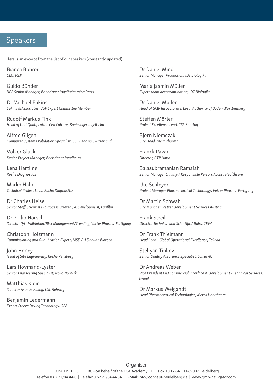### Speakers

Here is an excerpt from the list of our speakers (constantly updated):

Bianca Bohrer *CEO, PSM*

Guido Bünder *BPE Senior Manager, Boehringer Ingelheim microParts*

Dr Michael Eakins *Eakins & Associates, USP Expert Committee Member*

Rudolf Markus Fink *Head of Unit Qualification Cell Culture, Boehringer Ingelheim* 

Alfred Gilgen *Computer Systems Validation Specialist, CSL Behring Switzerland*

Volker Glück *Senior Project Manager, Boehringer Ingelheim*

Lena Hartling *Roche Diagnostics*

Marko Hahn *Technical Project Lead, Roche Diagnostics*

Dr Charles Heise *Senior Staff Scientist BioProcess Strategy & Development, Fujifilm*

Dr Philip Hörsch *Director QA - Validation/Risk Management/Trending, Vetter Pharma-Fertigung*

Christoph Holzmann *Commissioning and Qualification Expert, MSD AH Danube Biotech*

John Honey *Head of Site Engineering, Roche Penzberg*

Lars Hovmand-Lyster *Senior Engineering Specialist, Novo Nordisk*

Matthias Klein *Director Aseptic Filling, CSL Behring*

Benjamin Ledermann *Expert Freeze Drying Technology, GEA* Dr Daniel Minör *Senior Manager Production, IDT Biologika*

Maria Jasmin Müller *Expert room decontamination, IDT Biologika*

Dr Daniel Müller *Head of GMP Inspectorate, Local Authority of Baden Württemberg*

Steffen Mörler *Project Excellence Lead, CSL Behring*

Björn Niemczak *Site Head, Merz Pharma*

Franck Pavan *Director, GTP Nano*

Balasubramanian Ramaiah *Senior Manager Quality / Responsible Person, Accord Healthcare* 

Ute Schleyer *Project Manager Pharmaceutical Technology, Vetter Pharma-Fertigung*

Dr Martin Schwab *Site Manager, Vetter Development Services Austria*

Frank Streil *Director Technical and Scientific Affairs, TEVA*

Dr Frank Thielmann *Head Lean - Global Operational Excellence, Takeda*

Steliyan Tinkov *Senior Quality Assurance Specialist, Lonza AG*

Dr Andreas Weber *Vice President CID Commercial Interface & Development - Technical Services, Evonik*

Dr Markus Weigandt *Head Pharmaceutical Technologies, Merck Healthcare*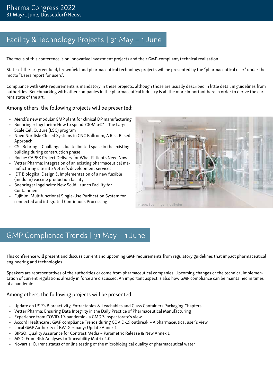## Facility & Technology Projects | 31 May – 1 June

The focus of this conference is on innovative investment projects and their GMP-compliant, technical realisation.

State-of-the-art greenfield, brownfield and pharmaceutical technology projects will be presented by the "pharmaceutical user" under the motto "Users report for users".

Compliance with GMP requirements is mandatory in these projects, although those are usually described in little detail in guidelines from authorities. Benchmarking with other companies in the pharmaceutical industry is all the more important here in order to derive the current state of the art.

Among others, the following projects will be presented:

- Merck's new modular GMP plant for clinical DP manufacturing
- Boehringer Ingelheim: How to spend 700Mio€? The Large Scale Cell Culture (LSC) program
- Novo Nordisk: Closed Systems in CNC Ballroom, A Risk Based Approach
- CSL Behring Challenges due to limited space in the existing building during construction phase
- Roche: CAPEX Project Delivery for What Patients Need Now
- Vetter Pharma: Integration of an existing pharmaceutical manufacturing site into Vetter's development services
- IDT Biologika: Design & Implementation of a new flexible (modular) vaccine production facility
- Boehringer Ingelheim: New Solid Launch Facility for Containment
- Fujifilm: Multifunctional Single-Use Purification System for connected and integrated Continuous Processing



Image: Boehringer Ingelheim

### GMP Compliance Trends | 31 May – 1 June

This conference will present and discuss current and upcoming GMP requirements from regulatory guidelines that impact pharmaceutical engineering and technologies.

Speakers are representatives of the authorities or come from pharmaceutical companies. Upcoming changes or the technical implementation of current regulations already in force are discussed. An important aspect is also how GMP compliance can be maintained in times of a pandemic.

### Among others, the following projects will be presented:

- Update on USP's Bioreactivity, Extractables & Leachables and Glass Containers Packaging Chapters
- Vetter Pharma: Ensuring Data Integrity in the Daily Practice of Pharmaceutical Manufacturing
- Experience from COVID-19-pandemic a GMDP-inspectorate's view
- Accord Healthcare : GMP compliance Trends during COVID-19 outbreak A pharmaceutical user's view
- Local GMP Authority of BW, Germany: Update Annex 1
- BIPSO: Quality Assurance for Contrast Media Parametric Release & New Annex 1
- MSD: From Risk Analyses to Traceability Matrix 4.0
- Novartis: Current status of online testing of the microbiological quality of pharmaceutical water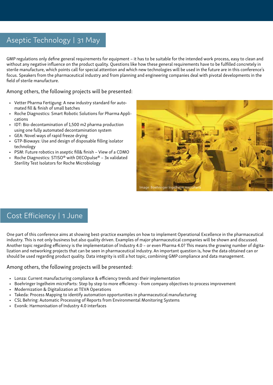## Aseptic Technology | 31 May

GMP regulations only define general requirements for equipment – it has to be suitable for the intended work process, easy to clean and without any negative influence on the product quality. Questions like how these general requirements have to be fulfilled concretely in sterile manufacture, which points call for special attention and which new technologies will be used in the future are in this conference's focus. Speakers from the pharmaceutical industry and from planning and engineering companies deal with pivotal developments in the field of sterile manufacture.

### Among others, the following projects will be presented:

- Vetter Pharma Fertigung: A new industry standard for automated fill & finish of small batches
- Roche Diagnostics: Smart Robotic Solutions for Pharma Applications
- IDT: Bio-decontamination of 1,500 m2 pharma production using one fully automated decontamination system
- GEA: Novel ways of rapid freeze drying
- GTP-Bioways: Use and design of disposable filling isolator technology
- PSM: Future robotics in aseptic fill& finish View of a CDMO
- Roche Diagnostics: STISO® with DECOpulse® 3x validated Sterility Test Isolators for Roche Microbiology



### Cost Efficiency | 1 June

One part of this conference aims at showing best-practice examples on how to implement Operational Excellence in the pharmaceutical industry. This is not only business but also quality driven. Examples of major pharmaceutical companies will be shown and discussed. Another topic regarding efficiency is the implementation of Industry 4.0 – or even Pharma 4.0? This means the growing number of digitalization and networking projects that can be seen in pharmaceutical industry. An important question is, how the data obtained can or should be used regarding product quality. Data integrity is still a hot topic, combining GMP compliance and data management.

### Among others, the following projects will be presented:

- Lonza: Current manufacturing compliance & efficiency trends and their implementation
- Boehringer Ingelheim microParts: Step by step to more efficiency from company objectives to process improvement
- Modernization & Digitalization at TEVA Operations
- Takeda: Process Mapping to identify automation opportunities in pharmaceutical manufacturing
- CSL Behring: Automatic Processing of Reports from Environmental Monitoring Systems
- Evonik: Harmonisation of Industry 4.0 interfaces